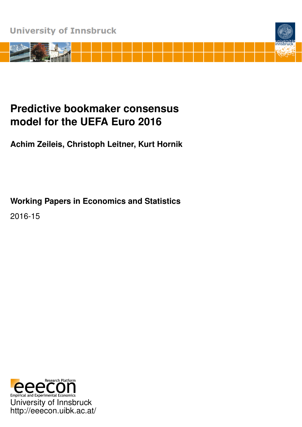

# **Predictive bookmaker consensus model for the UEFA Euro 2016**

**Achim Zeileis, Christoph Leitner, Kurt Hornik**

**Working Papers in Economics and Statistics**

2016-15

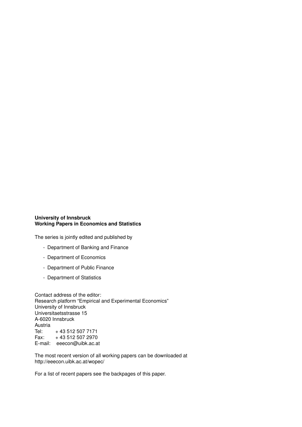#### **University of Innsbruck Working Papers in Economics and Statistics**

The series is jointly edited and published by

- Department of Banking and Finance
- Department of Economics
- Department of Public Finance
- Department of Statistics

Contact address of the editor: Research platform "Empirical and Experimental Economics" University of Innsbruck Universitaetsstrasse 15 A-6020 Innsbruck Austria<br>Tel: Tel: + 43 512 507 7171 Fax: + 43 512 507 2970 E-mail: eeecon@uibk.ac.at

The most recent version of all working papers can be downloaded at http://eeecon.uibk.ac.at/wopec/

For a list of recent papers see the backpages of this paper.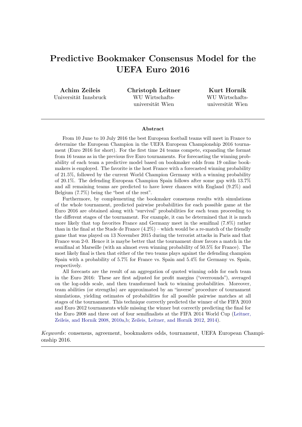# Predictive Bookmaker Consensus Model for the UEFA Euro 2016

Achim Zeileis Universität Innsbruck Christoph Leitner WU Wirtschaftsuniversität Wien

Kurt Hornik WU Wirtschaftsuniversität Wien

#### Abstract

From 10 June to 10 July 2016 the best European football teams will meet in France to determine the European Champion in the UEFA European Championship 2016 tournament (Euro 2016 for short). For the first time 24 teams compete, expanding the format from 16 teams as in the previous five Euro tournaments. For forecasting the winning probability of each team a predictive model based on bookmaker odds from 19 online bookmakers is employed. The favorite is the host France with a forecasted winning probability of 21.5%, followed by the current World Champion Germany with a winning probability of 20.1%. The defending European Champion Spain follows after some gap with 13.7% and all remaining teams are predicted to have lower chances with England (9.2%) and Belgium (7.7%) being the "best of the rest".

Furthermore, by complementing the bookmaker consensus results with simulations of the whole tournament, predicted pairwise probabilities for each possible game at the Euro 2016 are obtained along with "survival" probabilities for each team proceeding to the different stages of the tournament. For example, it can be determined that it is much more likely that top favorites France and Germany meet in the semifinal (7.8%) rather than in the final at the Stade de France  $(4.2\%)$  – which would be a re-match of the friendly game that was played on 13 November 2015 during the terrorist attacks in Paris and that France won 2-0. Hence it is maybe better that the tournament draw favors a match in the semifinal at Marseille (with an almost even winning probability of 50.5% for France). The most likely final is then that either of the two teams plays against the defending champion Spain with a probability of 5.7% for France vs. Spain and 5.4% for Germany vs. Spain, respectively.

All forecasts are the result of an aggregation of quoted winning odds for each team in the Euro 2016: These are first adjusted for profit margins ("overrounds"), averaged on the log-odds scale, and then transformed back to winning probabilities. Moreover, team abilities (or strengths) are approximated by an "inverse" procedure of tournament simulations, yielding estimates of probabilities for all possible pairwise matches at all stages of the tournament. This technique correctly predicted the winner of the FIFA 2010 and Euro 2012 tournaments while missing the winner but correctly predicting the final for the Euro 2008 and three out of four semifinalists at the FIFA 2014 World Cup [\(Leitner,](#page-10-0) [Zeileis, and Hornik](#page-10-0) [2008,](#page-10-0) [2010a,](#page-10-1)[b;](#page-10-2) [Zeileis, Leitner, and Hornik](#page-10-3) [2012,](#page-10-3) [2014\)](#page-10-4).

*Keywords*: consensus, agreement, bookmakers odds, tournament, UEFA European Championship 2016.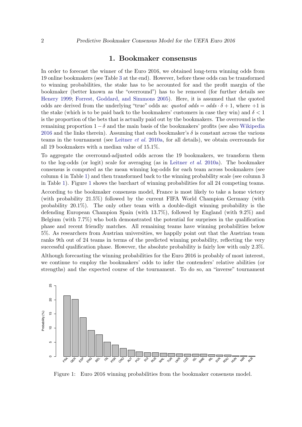#### 1. Bookmaker consensus

<span id="page-3-1"></span>In order to forecast the winner of the Euro 2016, we obtained long-term winning odds from 19 online bookmakers (see Table [3](#page-12-0) at the end). However, before these odds can be transformed to winning probabilities, the stake has to be accounted for and the profit margin of the bookmaker (better known as the "overround") has to be removed (for further details see [Henery](#page-10-5) [1999;](#page-10-5) [Forrest, Goddard, and Simmons](#page-9-0) [2005\)](#page-9-0). Here, it is assumed that the quoted odds are derived from the underlying "true" odds as: *quoted odds* =  $odds \cdot \delta + 1$ , where +1 is the stake (which is to be paid back to the bookmakers' customers in case they win) and  $\delta < 1$ is the proportion of the bets that is actually paid out by the bookmakers. The overround is the remaining proportion  $1-\delta$  and the main basis of the bookmakers' profits (see also [Wikipedia](#page-10-6) [2016](#page-10-6) and the links therein). Assuming that each bookmaker's  $\delta$  is constant across the various teams in the tournament (see [Leitner](#page-10-1) *et al.* [2010a,](#page-10-1) for all details), we obtain overrounds for all 19 bookmakers with a median value of 15.1%.

To aggregate the overround-adjusted odds across the 19 bookmakers, we transform them to the log-odds (or logit) scale for averaging (as in [Leitner](#page-10-1) *et al.* [2010a\)](#page-10-1). The bookmaker consensus is computed as the mean winning log-odds for each team across bookmakers (see column 4 in Table [1\)](#page-4-0) and then transformed back to the winning probability scale (see column 3 in Table [1\)](#page-4-0). Figure [1](#page-3-0) shows the barchart of winning probabilities for all 24 competing teams.

According to the bookmaker consensus model, France is most likely to take a home victory (with probability 21.5%) followed by the current FIFA World Champion Germany (with probability 20.1%). The only other team with a double-digit winning probability is the defending European Champion Spain (with 13.7%), followed by England (with 9.2%) and Belgium (with 7.7%) who both demonstrated the potential for surprises in the qualification phase and recent friendly matches. All remaining teams have winning probabilities below 5%. As researchers from Austrian universities, we happily point out that the Austrian team ranks 9th out of 24 teams in terms of the predicted winning probability, reflecting the very successful qualification phase. However, the absolute probability is fairly low with only 2.3%.

Although forecasting the winning probabilities for the Euro 2016 is probably of most interest, we continue to employ the bookmakers' odds to infer the contenders' relative abilities (or strengths) and the expected course of the tournament. To do so, an "inverse" tournament



<span id="page-3-0"></span>Figure 1: Euro 2016 winning probabilities from the bookmaker consensus model.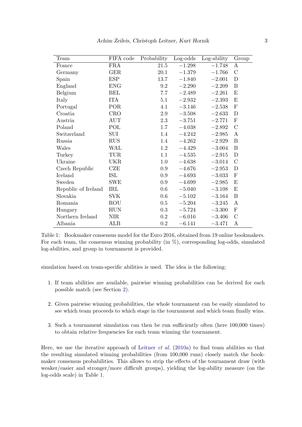| Team                | FIFA code  | Probability | Log-odds | Log-ability | Group         |
|---------------------|------------|-------------|----------|-------------|---------------|
| France              | <b>FRA</b> | 21.5        | $-1.298$ | $-1.748$    | A             |
| Germany             | GER        | 20.1        | $-1.379$ | $-1.766$    | $\mathcal{C}$ |
| Spain               | <b>ESP</b> | 13.7        | $-1.840$ | $-2.001$    | D             |
| England             | <b>ENG</b> | 9.2         | $-2.290$ | $-2.209$    | B             |
| Belgium             | BEL        | 7.7         | $-2.489$ | $-2.261$    | Ε             |
| Italy               | <b>ITA</b> | 5.1         | $-2.932$ | $-2.393$    | E             |
| Portugal            | POR        | 4.1         | $-3.146$ | $-2.538$    | $\mathbf F$   |
| Croatia             | <b>CRO</b> | 2.9         | $-3.508$ | $-2.633$    | D             |
| Austria             | <b>AUT</b> | 2.3         | $-3.751$ | $-2.771$    | $\mathbf F$   |
| Poland              | POL        | 1.7         | $-4.038$ | $-2.892$    | $\mathcal{C}$ |
| Switzerland         | SUI        | 1.4         | $-4.242$ | $-2.985$    | A             |
| Russia              | <b>RUS</b> | 1.4         | $-4.262$ | $-2.929$    | B             |
| Wales               | WAL        | 1.2         | $-4.429$ | $-3.004$    | B             |
| Turkey              | TUR        | 1.1         | $-4.535$ | $-2.915$    | D             |
| Ukraine             | <b>UKR</b> | 1.0         | $-4.638$ | $-3.014$    | $\mathcal{C}$ |
| Czech Republic      | CZE        | 0.9         | $-4.676$ | $-2.953$    | D             |
| Iceland             | ISL        | 0.9         | $-4.693$ | $-3.033$    | ${\bf F}$     |
| Sweden              | <b>SWE</b> | 0.9         | $-4.699$ | $-2.985$    | E             |
| Republic of Ireland | IRL        | 0.6         | $-5.040$ | $-3.108$    | E             |
| Slovakia            | <b>SVK</b> | 0.6         | $-5.102$ | $-3.164$    | B             |
| Romania             | ROU        | 0.5         | $-5.204$ | $-3.245$    | A             |
| Hungary             | <b>HUN</b> | 0.3         | $-5.724$ | $-3.300$    | F             |
| Northern Ireland    | <b>NIR</b> | $0.2\,$     | $-6.016$ | $-3.406$    | $\mathcal{C}$ |
| Albania             | ALB        | 0.2         | $-6.141$ | $-3.471$    | A             |

<span id="page-4-0"></span>Table 1: Bookmaker consensus model for the Euro 2016, obtained from 19 online bookmakers. For each team, the consensus winning probability (in  $\%$ ), corresponding log-odds, simulated log-abilities, and group in tournament is provided.

simulation based on team-specific abilities is used. The idea is the following:

- 1. If team abilities are available, pairwise winning probabilities can be derived for each possible match (see Section [2\)](#page-5-0).
- 2. Given pairwise winning probabilities, the whole tournament can be easily simulated to see which team proceeds to which stage in the tournament and which team finally wins.
- 3. Such a tournament simulation can then be run sufficiently often (here  $100,000$  times) to obtain relative frequencies for each team winning the tournament.

Here, we use the iterative approach of [Leitner](#page-10-1) *et al.* [\(2010a\)](#page-10-1) to find team abilities so that the resulting simulated winning probabilities (from 100,000 runs) closely match the bookmaker consensus probabilities. This allows to strip the effects of the tournament draw (with weaker/easier and stronger/more difficult groups), yielding the log-ability measure (on the log-odds scale) in Table [1.](#page-4-0)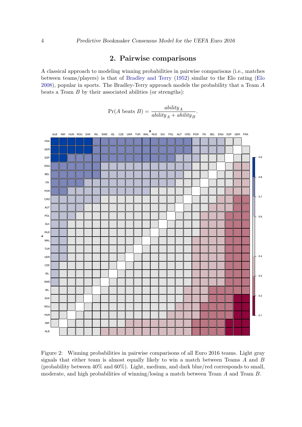# 2. Pairwise comparisons

<span id="page-5-0"></span>A classical approach to modeling winning probabilities in pairwise comparisons (i.e., matches between teams/players) is that of [Bradley and Terry](#page-9-1) [\(1952\)](#page-9-1) similar to the Elo rating [\(Elo](#page-9-2) [2008\)](#page-9-2), popular in sports. The Bradley-Terry approach models the probability that a Team *A* beats a Team *B* by their associated abilities (or strengths):

$$
\Pr(A \text{ beats } B) = \frac{ability_A}{ability_A + ability_B}.
$$



<span id="page-5-1"></span>Figure 2: Winning probabilities in pairwise comparisons of all Euro 2016 teams. Light gray signals that either team is almost equally likely to win a match between Teams *A* and *B* (probability between 40% and 60%). Light, medium, and dark blue/red corresponds to small, moderate, and high probabilities of winning/losing a match between Team *A* and Team *B*.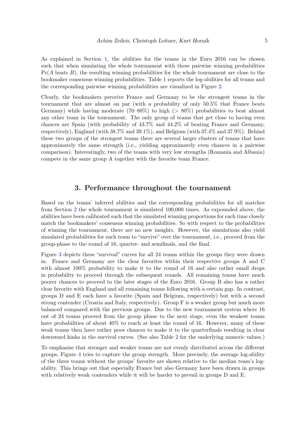As explained in Section [1,](#page-3-1) the abilities for the teams in the Euro 2016 can be chosen such that when simulating the whole tournament with these pairwise winning probabilities Pr(*A* beats *B*), the resulting winning probabilities for the whole tournament are close to the bookmaker consensus winning probabilities. Table [1](#page-4-0) reports the log-abilities for all teams and the corresponding pairwise winning probabilities are visualized in Figure [2.](#page-5-1)

Clearly, the bookmakers perceive France and Germany to be the strongest teams in the tournament that are almost on par (with a probability of only 50.5% that France beats Germany) while having moderate (70–80%) to high (*>* 80%) probabilities to beat almost any other team in the tournament. The only group of teams that get close to having even chances are Spain (with probability of 43.7% and 44.2% of beating France and Germany, respectively), England (with 38.7% and 39.1%), and Belgium (with 37.4% and 37.9%). Behind these two groups of the strongest teams there are several larger clusters of teams that have approximately the same strength (i.e., yielding approximately even chances in a pairwise comparison). Interestingly, two of the teams with very low strengths (Romania and Albania) compete in the same group A together with the favorite team France.

#### 3. Performance throughout the tournament

Based on the teams' inferred abilities and the corresponding probabilities for all matches from Section [2](#page-5-0) the whole tournament is simulated 100,000 times. As expounded above, the abilities have been calibrated such that the simulated winning proportions for each time closely match the bookmakers' consensus winning probabilities. So with respect to the probabilities of winning the tournament, there are no new insights. However, the simulations also yield simulated probabilities for each team to "survive" over the tournament, i.e., proceed from the group-phase to the round of 16, quarter- and semifinals, and the final.

Figure [3](#page-7-0) depicts these "survival" curves for all 24 teams within the groups they were drawn in. France and Germany are the clear favorites within their respective groups A and C with almost  $100\%$  probability to make it to the round of 16 and also rather small drops in probability to proceed through the subsequent rounds. All remaining teams have much poorer chances to proceed to the later stages of the Euro 2016. Group B also has a rather clear favorite with England and all remaining teams following with a certain gap. In contrast, groups D and E each have a favorite (Spain and Belgium, respectively) but with a second strong contender (Croatia and Italy, respectively). Group F is a weaker group but much more balanced compared with the previous groups. Due to the new tournament system where 16 out of 24 teams proceed from the group phase to the next stage, even the weakest teams have probabilities of about  $40\%$  to reach at least the round of 16. However, many of these weak teams then have rather poor chances to make it to the quarterfinals resulting in clear downward kinks in the survival curves. (See also Table [2](#page-11-0) for the underlying numeric values.)

To emphasize that stronger and weaker teams are not evenly distributed across the different groups, Figure [4](#page-8-0) tries to capture the group strength. More precisely, the average log-ability of the three teams without the groups' favorite are shown relative to the median team's logability. This brings out that especially France but also Germany have been drawn in groups with relatively weak contenders while it will be harder to prevail in groups D and E.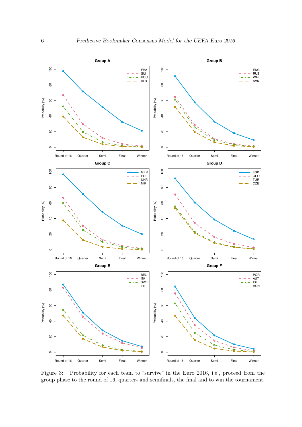

<span id="page-7-0"></span>Figure 3: Probability for each team to "survive" in the Euro 2016, i.e., proceed from the group phase to the round of 16, quarter- and semifinals, the final and to win the tournament.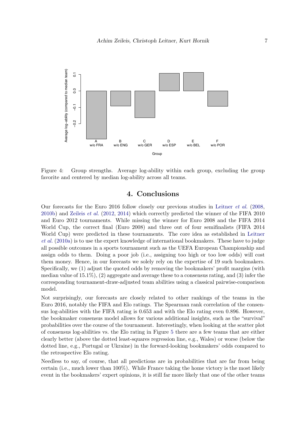

<span id="page-8-0"></span>Figure 4: Group strengths. Average log-ability within each group, excluding the group favorite and centered by median log-ability across all teams.

## 4. Conclusions

Our forecasts for the Euro 2016 follow closely our previous studies in [Leitner](#page-10-0) *et al.* [\(2008,](#page-10-0) [2010b\)](#page-10-2) and [Zeileis](#page-10-3) *et al.* [\(2012,](#page-10-3) [2014\)](#page-10-4) which correctly predicted the winner of the FIFA 2010 and Euro 2012 tournaments. While missing the winner for Euro 2008 and the FIFA 2014 World Cup, the correct final (Euro 2008) and three out of four semifinalists (FIFA 2014 World Cup) were predicted in these tournaments. The core idea as established in [Leitner](#page-10-1) *[et al.](#page-10-1)* [\(2010a\)](#page-10-1) is to use the expert knowledge of international bookmakers. These have to judge all possible outcomes in a sports tournament such as the UEFA European Championship and assign odds to them. Doing a poor job (i.e., assigning too high or too low odds) will cost them money. Hence, in our forecasts we solely rely on the expertise of 19 such bookmakers. Specifically, we (1) adjust the quoted odds by removing the bookmakers' profit margins (with median value of  $15.1\%$ ,  $(2)$  aggregate and average these to a consensus rating, and  $(3)$  infer the corresponding tournament-draw-adjusted team abilities using a classical pairwise-comparison model.

Not surprisingly, our forecasts are closely related to other rankings of the teams in the Euro 2016, notably the FIFA and Elo ratings. The Spearman rank correlation of the consensus log-abilities with the FIFA rating is 0.653 and with the Elo rating even 0.896. However, the bookmaker consensus model allows for various additional insights, such as the "survival" probabilities over the course of the tournament. Interestingly, when looking at the scatter plot of consensus log-abilities vs. the Elo rating in Figure [5](#page-9-3) there are a few teams that are either clearly better (above the dotted least-squares regression line, e.g., Wales) or worse (below the dotted line, e.g., Portugal or Ukraine) in the forward-looking bookmakers' odds compared to the retrospective Elo rating.

Needless to say, of course, that all predictions are in probabilities that are far from being certain (i.e., much lower than 100%). While France taking the home victory is the most likely event in the bookmakers' expert opinions, it is still far more likely that one of the other teams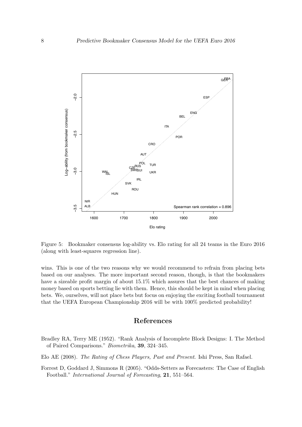

<span id="page-9-3"></span>Figure 5: Bookmaker consensus log-ability vs. Elo rating for all 24 teams in the Euro 2016 (along with least-squares regression line).

wins. This is one of the two reasons why we would recommend to refrain from placing bets based on our analyses. The more important second reason, though, is that the bookmakers have a sizeable profit margin of about 15.1% which assures that the best chances of making money based on sports betting lie with them. Hence, this should be kept in mind when placing bets. We, ourselves, will not place bets but focus on enjoying the exciting football tournament that the UEFA European Championship 2016 will be with 100% predicted probability!

## References

- <span id="page-9-1"></span>Bradley RA, Terry ME (1952). "Rank Analysis of Incomplete Block Designs: I. The Method of Paired Comparisons." *Biometrika*, 39, 324–345.
- <span id="page-9-2"></span>Elo AE (2008). *The Rating of Chess Players, Past and Present*. Ishi Press, San Rafael.
- <span id="page-9-0"></span>Forrest D, Goddard J, Simmons R (2005). "Odds-Setters as Forecasters: The Case of English Football." *International Journal of Forecasting*, 21, 551–564.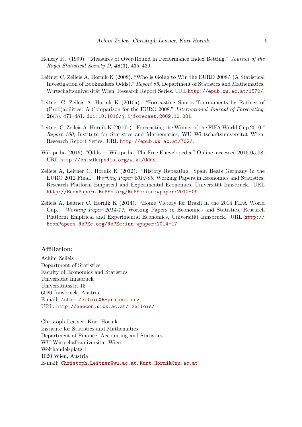- <span id="page-10-5"></span>Henery RJ (1999). "Measures of Over-Round in Performance Index Betting." *Journal of the Royal Statistical Society D*, 48(3), 435–439.
- <span id="page-10-0"></span>Leitner C, Zeileis A, Hornik K (2008). "Who is Going to Win the EURO 2008? (A Statistical Investigation of Bookmakers Odds)." *Report 65*, Department of Statistics and Mathematics, Wirtschaftsuniversität Wien, Research Report Series. URL <http://epub.wu.ac.at/1570/>.
- <span id="page-10-1"></span>Leitner C, Zeileis A, Hornik K (2010a). "Forecasting Sports Tournaments by Ratings of (Prob)abilities: A Comparison for the EURO 2008." *International Journal of Forecasting*, 26(3), 471–481. [doi:10.1016/j.ijforecast.2009.10.001](http://dx.doi.org/10.1016/j.ijforecast.2009.10.001).
- <span id="page-10-2"></span>Leitner C, Zeileis A, Hornik K (2010b). "Forecasting the Winner of the FIFA World Cup 2010." *Report 100*, Institute for Statistics and Mathematics, WU Wirtschaftsuniversität Wien, Research Report Series. URL <http://epub.wu.ac.at/702/>.
- <span id="page-10-6"></span>Wikipedia (2016). "Odds — Wikipedia, The Free Encyclopedia." Online, accessed 2016-05-08, URL <http://en.wikipedia.org/wiki/Odds>.
- <span id="page-10-3"></span>Zeileis A, Leitner C, Hornik K (2012). "History Repeating: Spain Beats Germany in the EURO 2012 Final." *Working Paper 2012-09*, Working Papers in Economics and Statistics, Research Platform Empirical and Experimental Economics, Universität Innsbruck. URL <http://EconPapers.RePEc.org/RePEc:inn:wpaper:2012-09>.
- <span id="page-10-4"></span>Zeileis A, Leitner C, Hornik K (2014). "Home Victory for Brazil in the 2014 FIFA World Cup." *Working Paper 2014-17*, Working Papers in Economics and Statistics, Research Platform Empirical and Experimental Economics, Universität Innsbruck. URL [http://](http://EconPapers.RePEc.org/RePEc:inn:wpaper:2014-17) [EconPapers.RePEc.org/RePEc:inn:wpaper:2014-17](http://EconPapers.RePEc.org/RePEc:inn:wpaper:2014-17).

#### Affiliation:

Achim Zeileis Department of Statistics Faculty of Economics and Statistics Universität Innsbruck Universitätsstr. 15 6020 Innsbruck, Austria E-mail: [Achim.Zeileis@R-project.org](mailto:Achim.Zeileis@R-project.org) URL: <http://eeecon.uibk.ac.at/~zeileis/>

Christoph Leitner, Kurt Hornik Institute for Statistics and Mathematics Department of Finance, Accounting and Statistics WU Wirtschaftsuniversität Wien Welthandelsplatz 1 1020 Wien, Austria E-mail: [Christoph.Leitner@wu.ac.at](mailto:Christoph.Leitner@wu.ac.at), [Kurt.Hornik@wu.ac.at](mailto:Kurt.Hornik@wu.ac.at)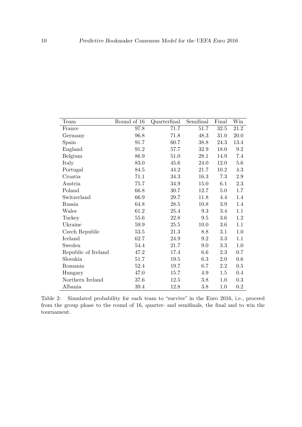| Team                | Round of 16 | Quarterfinal | Semifinal | Final   | Win     |
|---------------------|-------------|--------------|-----------|---------|---------|
| France              | 97.8        | 71.7         | 51.7      | 32.5    | 21.2    |
| Germany             | 96.8        | 71.8         | 48.3      | 31.0    | 20.0    |
| Spain               | 91.7        | 60.7         | 38.8      | 24.3    | 13.4    |
| England             | 91.2        | 57.7         | 32.9      | 18.0    | $9.2\,$ |
| Belgium             | 86.9        | 51.0         | 28.1      | 14.9    | 7.4     |
| Italy               | 83.0        | 45.6         | 24.0      | 12.0    | 5.6     |
| Portugal            | 84.5        | 44.2         | 21.7      | 10.2    | 4.3     |
| Croatia             | 71.1        | 34.3         | 16.3      | 7.3     | $2.9\,$ |
| Austria             | 75.7        | 34.9         | 15.0      | 6.1     | 2.3     |
| Poland              | 66.8        | 30.7         | 12.7      | $5.0\,$ | $1.7\,$ |
| Switzerland         | 66.9        | 29.7         | 11.8      | 4.4     | 1.4     |
| Russia              | 64.8        | 28.5         | 10.8      | 3.9     | 1.4     |
| Wales               | 61.2        | 25.4         | 9.3       | 3.4     | 1.1     |
| Turkey              | 55.6        | 22.8         | 9.5       | 3.6     | 1.2     |
| Ukraine             | 59.9        | $25.5\,$     | 10.0      | 3.6     | 1.1     |
| Czech Republic      | 53.5        | 21.3         | 8.8       | 3.1     | 1.0     |
| Iceland             | 62.7        | 24.9         | 9.2       | 3.3     | 1.1     |
| Sweden              | 54.4        | 21.7         | 9.0       | 3.3     | 1.0     |
| Republic of Ireland | 47.2        | 17.4         | 6.6       | 2.3     | $0.7\,$ |
| Slovakia            | 51.7        | 19.5         | 6.3       | 2.0     | 0.6     |
| Romania             | 52.4        | 19.7         | 6.7       | $2.2\,$ | $0.5\,$ |
| Hungary             | 47.0        | 15.7         | 4.9       | 1.5     | 0.4     |
| Northern Ireland    | 37.6        | 12.5         | 3.8       | 1.0     | $0.3\,$ |
| Albania             | 39.4        | 12.8         | 3.8       | 1.0     | $0.2\,$ |

<span id="page-11-0"></span>Table 2: Simulated probability for each team to "survive" in the Euro 2016, i.e., proceed from the group phase to the round of 16, quarter- and semifinals, the final and to win the tournament.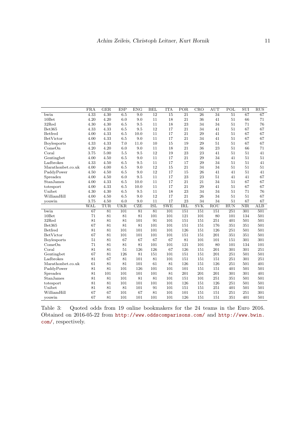|                   | $\overline{\text{FRA}}$ | GER             | <b>ESP</b> | ENG              | <b>BEL</b>      | <b>ITA</b>      | $\overline{POR}$ | CRO                     | <b>AUT</b>      | POL             | SUI                     | RUS                     |
|-------------------|-------------------------|-----------------|------------|------------------|-----------------|-----------------|------------------|-------------------------|-----------------|-----------------|-------------------------|-------------------------|
| bwin              | 4.33                    | 4.30            | 6.5        | $\overline{9.0}$ | $\overline{12}$ | $\overline{15}$ | $\overline{21}$  | 26                      | $\overline{34}$ | $\overline{51}$ | 67                      | 67                      |
| $10$ Bet          | 4.20                    | 4.20            | 6.0        | 9.0              | 11              | 18              | 21               | 36                      | 41              | 51              | 66                      | 71                      |
| 32Red             | 4.30                    | 4.30            | 6.5        | 9.5              | 11              | 18              | 23               | 34                      | 34              | 51              | 71                      | 76                      |
| Bet365            | 4.33                    | 4.33            | 6.5        | 9.5              | 12              | 17              | 21               | 34                      | 41              | 51              | 67                      | 67                      |
| Betfred           | 4.00                    | 4.33            | 6.5        | 10.0             | 11              | 17              | 21               | 29                      | 41              | 51              | 67                      | 67                      |
| BetVictor         | 4.00                    | 4.33            | 6.5        | 9.0              | 11              | 17              | 21               | 34                      | 41              | 51              | 67                      | 67                      |
| Boylesports       | 4.33                    | 4.33            | 7.0        | 11.0             | 10              | 15              | 19               | 29                      | 51              | 51              | 67                      | 67                      |
| ComeOn            | 4.20                    | 4.20            | 6.0        | 9.0              | 11              | 18              | 21               | 36                      | 23              | 51              | 66                      | 71                      |
| Coral             | 3.75                    | 5.00            | 5.5        | 9.5              | 12              | 19              | 23               | 23                      | 41              | 51              | 51                      | 41                      |
| Gentingbet        | 4.00                    | 4.50            | 6.5        | 9.0              | 11              | 17              | 21               | 29                      | 34              | 41              | 51                      | $51\,$                  |
| Ladbrokes         | 4.33                    | 4.50            | 6.5        | 9.5              | 11              | 17              | 17               | 29                      | 34              | 51              | 51                      | 41                      |
| Marathonbet.co.uk | 4.00                    | 4.00            | 6.5        | 9.0              | 12              | 15              | 21               | 34                      | 34              | 51              | 51                      | 51                      |
| PaddyPower        | 4.50                    | 4.50            | 6.5        | 9.0              | 12              | 17              | 15               | 26                      | 41              | 41              | 51                      | 41                      |
| Spreadex          | 4.00                    | 4.50            | 6.0        | 9.5              | 11              | 17              | 23               | 23                      | 51              | 41              | 41                      | 67                      |
| StanJames         | 4.00                    | 4.33            | 6.5        | 10.0             | 11              | 17              | 21               | 21                      | 34              | 51              | 67                      | 67                      |
| totesport         | 4.00                    | 4.33            | 6.5        | 10.0             | 11              | 17              | 21               | 29                      | 41              | 51              | 67                      | 67                      |
| Unibet            | 4.30                    | 4.30            | 6.5        | 9.5              | 11              | 18              | 23               | 34                      | 34              | 51              | 71                      | 76                      |
| WilliamHill       | 4.00                    | 4.50            | 6.5        | 9.0              | 12              | 17              | 21               | 26                      | 34              | 51              | 51                      | 67                      |
| youwin            | 3.75                    | 4.50            | 6.0        | 9.0              | 11              | 17              | 23               | 34                      | 34              | 51              | 67                      | 67                      |
|                   | WAL                     | <b>TUR</b>      | <b>UKR</b> | CZE              | <b>ISL</b>      | <b>SWE</b>      | <b>IRL</b>       | $\overline{\text{SVK}}$ | ROU             | <b>HUN</b>      | $\overline{\text{NIR}}$ | $\overline{\text{ALB}}$ |
| bwin              | 67                      | $\overline{81}$ | 101        | 81               | $\overline{81}$ | 101             | 151              | 151                     | 151             | 251             | 301                     | 501                     |
| $10$ Bet          | 71                      | 81              | 81         | 81               | 101             | 101             | 121              | 101                     | 80              | 101             | 134                     | 501                     |
| 32Red             | 81                      | 81              | 81         | 101              | 91              | 101             | 151              | 151                     | 251             | 401             | 501                     | 501                     |
| Bet365            | 67                      | 81              | 81         | 81               | 101             | 101             | 151              | 151                     | 176             | 351             | 351                     | 501                     |
| Betfred           | 81                      | 81              | 101        | 101              | 101             | 101             | 126              | 151                     | 126             | 251             | 501                     | 501                     |
| BetVictor         | 67                      | 81              | 101        | 101              | 101             | 101             | 151              | 151                     | 201             | 351             | 351                     | 501                     |
| Boylesports       | 51                      | 81              | 67         | 67               | 67              | 67              | 81               | 101                     | 101             | 151             | 301                     | 301                     |
| ComeOn            | 71                      | 81              | 81         | 81               | 101             | 101             | 121              | 101                     | 80              | 101             | 134                     | 101                     |
| Coral             | 81                      | 81              | 51         | 126              | 126             | 67              | 126              | 151                     | 201             | 301             | 301                     | 251                     |
| Gentingbet        | 67                      | 81              | 126        | 81               | 151             | 101             | 151              | 151                     | 201             | 251             | 501                     | 501                     |
| Ladbrokes         | 81                      | 67              | 81         | 101              | 81              | 101             | 151              | 151                     | 151             | 251             | 301                     | 251                     |
| Marathonbet.co.uk | 61                      | 81              | 81         | 101              | 61              | 81              | 126              | 151                     | 126             | 251             | 501                     | 401                     |
| PaddyPower        | 81                      | 81              | 101        | 126              | 101             | 101             | 101              | 151                     | 151             | 401             | 501                     | 501                     |
| Spreadex          | 81                      | 101             | 101        | 101              | 101             | 81              | 201              | 201                     | 201             | 301             | 301                     | 401                     |
| StanJames         | 81                      | 81              | 101        | 81               | 81              | 101             | 151              | 101                     | 251             | 351             | 501                     | 501                     |
| totesport         | 81                      | 81              | 101        | 101              | 101             | 101             | 126              | 151                     | 126             | 251             | 501                     | 501                     |
| Unibet            | 81                      | 81              | 81         | 101              | 91              | 101             | 151              | 151                     | 251             | 401             | 501                     | 501                     |
|                   |                         |                 |            |                  |                 |                 |                  |                         |                 |                 |                         |                         |
| WilliamHill       | 67                      | 67              | 101        | 67               | 81              | 101             | 101              | 151                     | 151             | 251             | 251                     | 301                     |

<span id="page-12-0"></span>Table 3: Quoted odds from 19 online bookmakers for the 24 teams in the Euro 2016. Obtained on 2016-05-22 from <http://www.oddscomparisons.com/> and [http://www.bwin.](http://www.bwin.com/) [com/](http://www.bwin.com/), respectively.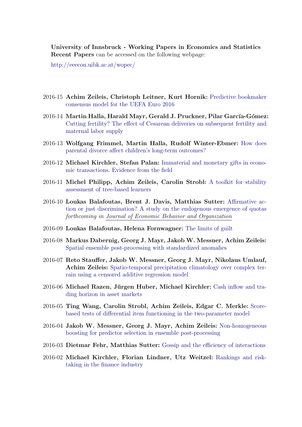University of Innsbruck - Working Papers in Economics and Statistics Recent Papers can be accessed on the following webpage:

<http://eeecon.uibk.ac.at/wopec/>

- 2016-15 Achim Zeileis, Christoph Leitner, Kurt Hornik: [Predictive bookmaker](http://EconPapers.RePEc.org/RePEc:inn:wpaper:2016-15) [consensus model for the UEFA Euro 2016](http://EconPapers.RePEc.org/RePEc:inn:wpaper:2016-15)
- 2016-14 Martin Halla, Harald Mayr, Gerald J. Pruckner, Pilar García-Gómez: Cutting fertility? The eff[ect of Cesarean deliveries on subsequent fertility and](http://EconPapers.RePEc.org/RePEc:inn:wpaper:2016-14) [maternal labor supply](http://EconPapers.RePEc.org/RePEc:inn:wpaper:2016-14)
- 2016-13 Wolfgang Frimmel, Martin Halla, Rudolf Winter-Ebmer: [How does](http://EconPapers.RePEc.org/RePEc:inn:wpaper:2016-13) parental divorce aff[ect children's long-term outcomes?](http://EconPapers.RePEc.org/RePEc:inn:wpaper:2016-13)
- 2016-12 Michael Kirchler, Stefan Palan: [Immaterial and monetary gifts in econo](http://EconPapers.RePEc.org/RePEc:inn:wpaper:2016-12)[mic transactions. Evidence from the field](http://EconPapers.RePEc.org/RePEc:inn:wpaper:2016-12)
- 2016-11 Michel Philipp, Achim Zeileis, Carolin Strobl: [A toolkit for stability](http://EconPapers.RePEc.org/RePEc:inn:wpaper:2016-11) [assessment of tree-based learners](http://EconPapers.RePEc.org/RePEc:inn:wpaper:2016-11)
- 2016-10 Loukas Balafoutas, Brent J. Davis, Matthias Sutter: Affi[rmative ac](http://EconPapers.RePEc.org/RePEc:inn:wpaper:2016-10)[tion or just discrimination? A study on the endogenous emergence of quotas](http://EconPapers.RePEc.org/RePEc:inn:wpaper:2016-10) *forthcoming in Journal of Economic Behavior and Organization*
- 2016-09 Loukas Balafoutas, Helena Fornwagner: [The limits of guilt](http://EconPapers.RePEc.org/RePEc:inn:wpaper:2016-09)
- 2016-08 Markus Dabernig, Georg J. Mayr, Jakob W. Messner, Achim Zeileis: [Spatial ensemble post-processing with standardized anomalies](http://EconPapers.RePEc.org/RePEc:inn:wpaper:2016-08)
- 2016-07 Reto Stauffer, Jakob W. Messner, Georg J. Mayr, Nikolaus Umlauf, Achim Zeileis: [Spatio-temporal precipitation climatology over complex ter](http://EconPapers.RePEc.org/RePEc:inn:wpaper:2016-07)[rain using a censored additive regression model](http://EconPapers.RePEc.org/RePEc:inn:wpaper:2016-07)
- 2016-06 Michael Razen, Jürgen Huber, Michael Kirchler: [Cash inflow and tra](http://EconPapers.RePEc.org/RePEc:inn:wpaper:2016-06)[ding horizon in asset markets](http://EconPapers.RePEc.org/RePEc:inn:wpaper:2016-06)
- 2016-05 Ting Wang, Carolin Strobl, Achim Zeileis, Edgar C. Merkle: [Score](http://EconPapers.RePEc.org/RePEc:inn:wpaper:2016-05)based tests of diff[erential item functioning in the two-parameter model](http://EconPapers.RePEc.org/RePEc:inn:wpaper:2016-05)
- 2016-04 Jakob W. Messner, Georg J. Mayr, Achim Zeileis: [Non-homogeneous](http://EconPapers.RePEc.org/RePEc:inn:wpaper:2016-04) [boosting for predictor selection in ensemble post-processing](http://EconPapers.RePEc.org/RePEc:inn:wpaper:2016-04)
- 2016-03 Dietmar Fehr, Matthias Sutter: Gossip and the effi[ciency of interactions](http://EconPapers.RePEc.org/RePEc:inn:wpaper:2016-03)
- 2016-02 Michael Kirchler, Florian Lindner, Utz Weitzel: [Rankings and risk](http://EconPapers.RePEc.org/RePEc:inn:wpaper:2016-02)[taking in the finance industry](http://EconPapers.RePEc.org/RePEc:inn:wpaper:2016-02)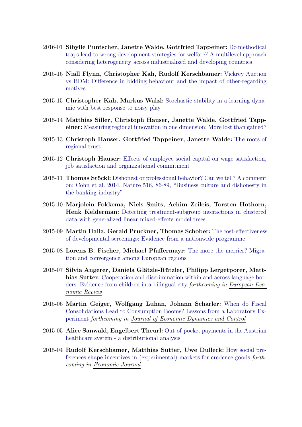- 2016-01 Sibylle Puntscher, Janette Walde, Gottfried Tappeiner: [Do methodical](http://EconPapers.RePEc.org/RePEc:inn:wpaper:2016-01) [traps lead to wrong development strategies for welfare? A multilevel approach](http://EconPapers.RePEc.org/RePEc:inn:wpaper:2016-01) [considering heterogeneity across industrialized and developing countries](http://EconPapers.RePEc.org/RePEc:inn:wpaper:2016-01)
- 2015-16 Niall Flynn, Christopher Kah, Rudolf Kerschbamer: [Vickrey Auction](http://EconPapers.RePEc.org/RePEc:inn:wpaper:2015-16) vs BDM: Diff[erence in bidding behaviour and the impact of other-regarding](http://EconPapers.RePEc.org/RePEc:inn:wpaper:2015-16) [motives](http://EconPapers.RePEc.org/RePEc:inn:wpaper:2015-16)
- 2015-15 Christopher Kah, Markus Walzl: [Stochastic stability in a learning dyna](http://EconPapers.RePEc.org/RePEc:inn:wpaper:2015-15)[mic with best response to noisy play](http://EconPapers.RePEc.org/RePEc:inn:wpaper:2015-15)
- 2015-14 Matthias Siller, Christoph Hauser, Janette Walde, Gottfried Tappeiner: [Measuring regional innovation in one dimension: More lost than gained?](http://EconPapers.RePEc.org/RePEc:inn:wpaper:2015-14)
- 2015-13 Christoph Hauser, Gottfried Tappeiner, Janette Walde: [The roots of](http://EconPapers.RePEc.org/RePEc:inn:wpaper:2015-13) [regional trust](http://EconPapers.RePEc.org/RePEc:inn:wpaper:2015-13)
- 2015-12 Christoph Hauser: Eff[ects of employee social capital on wage satisfaction,](http://EconPapers.RePEc.org/RePEc:inn:wpaper:2015-12) [job satisfaction and organizational commitment](http://EconPapers.RePEc.org/RePEc:inn:wpaper:2015-12)
- 2015-11 **Thomas Stöckl:** [Dishonest or professional behavior? Can we tell? A comment](http://EconPapers.RePEc.org/RePEc:inn:wpaper:2015-11) [on: Cohn et al. 2014, Nature 516, 86-89, "Business culture and dishonesty in](http://EconPapers.RePEc.org/RePEc:inn:wpaper:2015-11) [the banking industry"](http://EconPapers.RePEc.org/RePEc:inn:wpaper:2015-11)
- 2015-10 Marjolein Fokkema, Niels Smits, Achim Zeileis, Torsten Hothorn, Henk Kelderman: [Detecting treatment-subgroup interactions in clustered](http://EconPapers.RePEc.org/RePEc:inn:wpaper:2015-10) [data with generalized linear mixed-e](http://EconPapers.RePEc.org/RePEc:inn:wpaper:2015-10)ffects model trees
- 2015-09 Martin Halla, Gerald Pruckner, Thomas Schober: [The cost-e](http://EconPapers.RePEc.org/RePEc:inn:wpaper:2015-09)ffectiveness [of developmental screenings: Evidence from a nationwide programme](http://EconPapers.RePEc.org/RePEc:inn:wpaper:2015-09)
- 2015-08 Lorenz B. Fischer, Michael Pfaffermayr: [The more the merrier? Migra](http://EconPapers.RePEc.org/RePEc:inn:wpaper:2015-08)[tion and convergence among European regions](http://EconPapers.RePEc.org/RePEc:inn:wpaper:2015-08)
- 2015-07 Silvia Angerer, Daniela Glätzle-Rützler, Philipp Lergetporer, Matt-hias Sutter: [Cooperation and discrimination within and across language bor](http://EconPapers.RePEc.org/RePEc:inn:wpaper:2015-07)[ders: Evidence from children in a bilingual city](http://EconPapers.RePEc.org/RePEc:inn:wpaper:2015-07) *forthcoming in European Economic Review*
- 2015-06 Martin Geiger, Wolfgang Luhan, Johann Scharler: [When do Fiscal](http://EconPapers.RePEc.org/RePEc:inn:wpaper:2015-06) [Consolidations Lead to Consumption Booms? Lessons from a Laboratory Ex](http://EconPapers.RePEc.org/RePEc:inn:wpaper:2015-06)[periment](http://EconPapers.RePEc.org/RePEc:inn:wpaper:2015-06) *forthcoming in Journal of Economic Dynamics and Control*
- 2015-05 Alice Sanwald, Engelbert Theurl: [Out-of-pocket payments in the Austrian](http://EconPapers.RePEc.org/RePEc:inn:wpaper:2015-05) [healthcare system - a distributional analysis](http://EconPapers.RePEc.org/RePEc:inn:wpaper:2015-05)
- 2015-04 Rudolf Kerschbamer, Matthias Sutter, Uwe Dulleck: [How social pre](http://EconPapers.RePEc.org/RePEc:inn:wpaper:2015-04)[ferences shape incentives in \(experimental\) markets for credence goods](http://EconPapers.RePEc.org/RePEc:inn:wpaper:2015-04) *forthcoming in Economic Journal*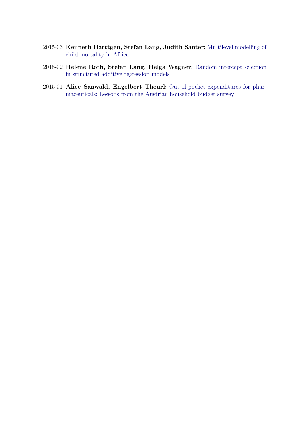- 2015-03 Kenneth Harttgen, Stefan Lang, Judith Santer: [Multilevel modelling of](http://EconPapers.RePEc.org/RePEc:inn:wpaper:2015-03) [child mortality in Africa](http://EconPapers.RePEc.org/RePEc:inn:wpaper:2015-03)
- 2015-02 Helene Roth, Stefan Lang, Helga Wagner: [Random intercept selection](http://EconPapers.RePEc.org/RePEc:inn:wpaper:2015-02) [in structured additive regression models](http://EconPapers.RePEc.org/RePEc:inn:wpaper:2015-02)
- 2015-01 Alice Sanwald, Engelbert Theurl: [Out-of-pocket expenditures for phar](http://EconPapers.RePEc.org/RePEc:inn:wpaper:2015-01)[maceuticals: Lessons from the Austrian household budget survey](http://EconPapers.RePEc.org/RePEc:inn:wpaper:2015-01)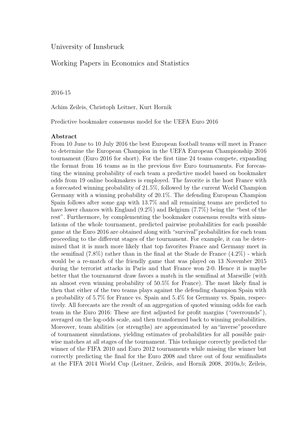# University of Innsbruck

# Working Papers in Economics and Statistics

#### 2016-15

Achim Zeileis, Christoph Leitner, Kurt Hornik

Predictive bookmaker consensus model for the UEFA Euro 2016

#### Abstract

From 10 June to 10 July 2016 the best European football teams will meet in France to determine the European Champion in the UEFA European Championship 2016 tournament (Euro 2016 for short). For the first time 24 teams compete, expanding the format from 16 teams as in the previous five Euro tournaments. For forecasting the winning probability of each team a predictive model based on bookmaker odds from 19 online bookmakers is employed. The favorite is the host France with a forecasted winning probability of 21.5%, followed by the current World Champion Germany with a winning probability of 20.1%. The defending European Champion Spain follows after some gap with 13.7% and all remaining teams are predicted to have lower chances with England (9.2%) and Belgium (7.7%) being the "best of the rest". Furthermore, by complementing the bookmaker consensus results with simulations of the whole tournament, predicted pairwise probabilities for each possible game at the Euro 2016 are obtained along with "survival"probabilities for each team proceeding to the different stages of the tournament. For example, it can be determined that it is much more likely that top favorites France and Germany meet in the semifinal  $(7.8\%)$  rather than in the final at the Stade de France  $(4.2\%)$  - which would be a re-match of the friendly game that was played on 13 November 2015 during the terrorist attacks in Paris and that France won 2-0. Hence it is maybe better that the tournament draw favors a match in the semifinal at Marseille (with an almost even winning probability of 50.5% for France). The most likely final is then that either of the two teams plays against the defending champion Spain with a probability of 5.7% for France vs. Spain and 5.4% for Germany vs. Spain, respectively. All forecasts are the result of an aggregation of quoted winning odds for each team in the Euro 2016: These are first adjusted for profit margins ("overrounds"), averaged on the log-odds scale, and then transformed back to winning probabilities. Moreover, team abilities (or strengths) are approximated by an"inverse"procedure of tournament simulations, yielding estimates of probabilities for all possible pairwise matches at all stages of the tournament. This technique correctly predicted the winner of the FIFA 2010 and Euro 2012 tournaments while missing the winner but correctly predicting the final for the Euro 2008 and three out of four semifinalists at the FIFA 2014 World Cup (Leitner, Zeileis, and Hornik 2008, 2010a,b; Zeileis,